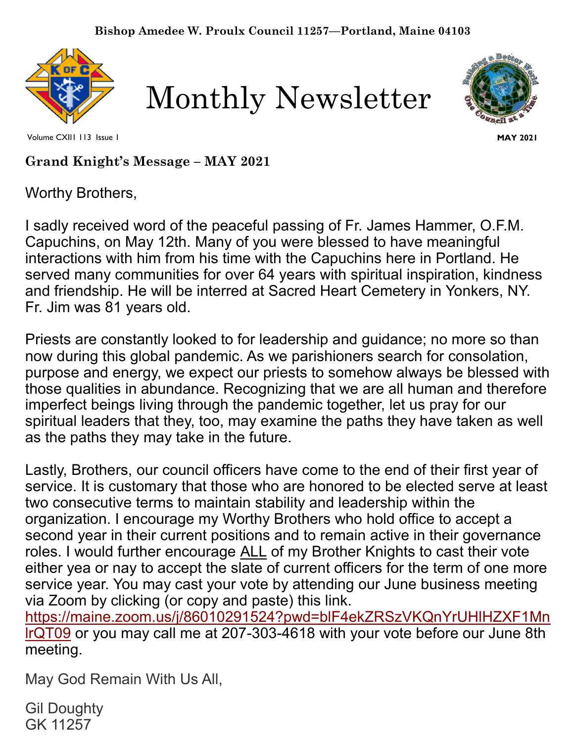





Volume CXII1 113 Issue 1

**MAY 2021**

**Grand Knight's Message – MAY 2021** 

Worthy Brothers,

I sadly received word of the peaceful passing of Fr. James Hammer, O.F.M. Capuchins, on May 12th. Many of you were blessed to have meaningful interactions with him from his time with the Capuchins here in Portland. He served many communities for over 64 years with spiritual inspiration, kindness and friendship. He will be interred at Sacred Heart Cemetery in Yonkers, NY. Fr. Jim was 81 years old.

Priests are constantly looked to for leadership and guidance; no more so than now during this global pandemic. As we parishioners search for consolation, purpose and energy, we expect our priests to somehow always be blessed with those qualities in abundance. Recognizing that we are all human and therefore imperfect beings living through the pandemic together, let us pray for our spiritual leaders that they, too, may examine the paths they have taken as well as the paths they may take in the future.

Lastly, Brothers, our council officers have come to the end of their first year of service. It is customary that those who are honored to be elected serve at least two consecutive terms to maintain stability and leadership within the organization. I encourage my Worthy Brothers who hold office to accept a second year in their current positions and to remain active in their governance roles. I would further encourage ALL of my Brother Knights to cast their vote either yea or nay to accept the slate of current officers for the term of one more service year. You may cast your vote by attending our June business meeting via Zoom by clicking (or copy and paste) this link. [https://maine.zoom.us/j/86010291524?pwd=blF4ekZRSzVKQnYrUHlHZXF1Mn](https://www.google.com/url?q=https://maine.zoom.us/j/86010291524?pwd%3DblF4ekZRSzVKQnYrUHlHZXF1MnlrQT09&sa=D&source=calendar&ust=1620826073414000&usg=AOvVaw1UR19rtzBlAMgQTXl4T-el) [lrQT09](https://www.google.com/url?q=https://maine.zoom.us/j/86010291524?pwd%3DblF4ekZRSzVKQnYrUHlHZXF1MnlrQT09&sa=D&source=calendar&ust=1620826073414000&usg=AOvVaw1UR19rtzBlAMgQTXl4T-el) or you may call me at 207-303-4618 with your vote before our June 8th meeting.

May God Remain With Us All,

Gil Doughty GK 11257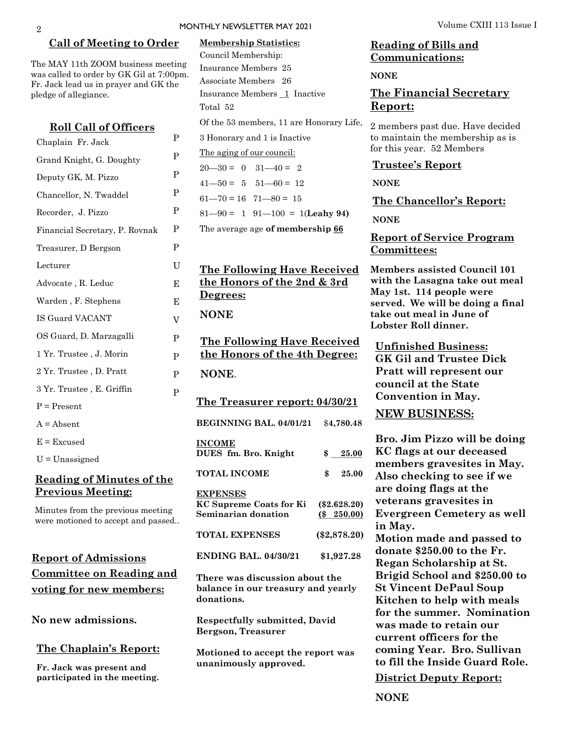#### **Call of Meeting to Order**

The MAY 11th ZOOM business meeting was called to order by GK Gil at 7:00pm. Fr. Jack lead us in prayer and GK the pledge of allegiance.

> P P P P P P P  $U$ E E V

P P P

P

| <b>Roll Call of Officers</b>   |
|--------------------------------|
| Chaplain Fr. Jack              |
| Grand Knight, G. Doughty       |
| Deputy GK, M. Pizzo            |
| Chancellor, N. Twaddel         |
| Recorder, J. Pizzo             |
| Financial Secretary, P. Rovnak |
| Treasurer, D Bergson           |
| Lecturer                       |
| Advocate, R. Leduc             |
| Warden, F. Stephens            |
| IS Guard VACANT                |
| OS Guard, D. Marzagalli        |
| 1 Yr. Trustee, J. Morin        |
| 2 Yr. Trustee, D. Pratt        |
| 3 Yr. Trustee, E. Griffin      |
| $P = Present$                  |
| $A = Absent$                   |
| $E = Excused$                  |
| $U =$ Unassigned               |
|                                |

## **Reading of Minutes of the Previous Meeting:**

Minutes from the previous meeting were motioned to accept and passed..

## **Report of Admissions Committee on Reading and voting for new members:**

**No new admissions.** 

#### **The Chaplain's Report:**

**Fr. Jack was present and participated in the meeting.**

| <b>Membership Statistics:</b><br>Council Membership:<br>Insurance Members 25<br>Associate Members 26<br>Insurance Members 1 Inactive<br>Total 52 |                |
|--------------------------------------------------------------------------------------------------------------------------------------------------|----------------|
| Of the 53 members, 11 are Honorary Life,                                                                                                         |                |
|                                                                                                                                                  |                |
| 3 Honorary and 1 is Inactive                                                                                                                     |                |
| The aging of our council:                                                                                                                        |                |
| $20 - 30 = 0$ $31 - 40 = 2$                                                                                                                      |                |
| $41 - 50 = 5$ $51 - 60 = 12$                                                                                                                     |                |
| $61 - 70 = 16$ $71 - 80 = 15$                                                                                                                    |                |
| $81 - 90 = 1$ $91 - 100 = 1$ (Leahy 94)                                                                                                          |                |
| The average age of membership 66                                                                                                                 |                |
|                                                                                                                                                  |                |
| <b>The Following Have Received</b><br><u>the Honors of the 2nd &amp; 3rd</u><br>Degrees:<br><b>NONE</b>                                          |                |
|                                                                                                                                                  |                |
| <u>The Following Have Received</u><br>the Honors of the 4th Degree:                                                                              |                |
| NONE.                                                                                                                                            |                |
| The Treasurer report: 04/30/21                                                                                                                   |                |
| BEGINNING BAL. 04/01/21 \$4,780.48                                                                                                               |                |
| <u>INCOME</u><br>DUES fm. Bro. Knight                                                                                                            | $$ -25.00$     |
| <b>TOTAL INCOME</b>                                                                                                                              | \$ 25.00       |
| <b>EXPENSES</b><br>KC Supreme Coats for Ki (\$2.628.20)<br>Seminarian donation                                                                   | $($ \$ 250.00) |
| <b>TOTAL EXPENSES</b>                                                                                                                            | $(\$2,878.20)$ |
| <b>ENDING BAL. 04/30/21</b>                                                                                                                      | \$1,927.28     |
| There was discussion about the<br>balance in our treasury and yearly<br>donations.                                                               |                |

**Bergson, Treasurer**

**Motioned to accept the report was unanimously approved.**

## **Reading of Bills and Communications:**

**NONE** 

## **The Financial Secretary Report:**

2 members past due. Have decided to maintain the membership as is for this year. 52 Members

#### **Trustee's Report**

**NONE**

**The Chancellor's Report:** 

**NONE**

### **Report of Service Program Committees:**

**Members assisted Council 101 with the Lasagna take out meal May 1st. 114 people were served. We will be doing a final take out meal in June of Lobster Roll dinner.** 

**Unfinished Business: GK Gil and Trustee Dick Pratt will represent our council at the State Convention in May.**

### **NEW BUSINESS:**

**Bro. Jim Pizzo will be doing KC flags at our deceased members gravesites in May. Also checking to see if we are doing flags at the veterans gravesites in Evergreen Cemetery as well in May.**

**Motion made and passed to donate \$250.00 to the Fr. Regan Scholarship at St. Brigid School and \$250.00 to St Vincent DePaul Soup Kitchen to help with meals for the summer. Nomination was made to retain our current officers for the coming Year. Bro. Sullivan to fill the Inside Guard Role.**

**District Deputy Report:**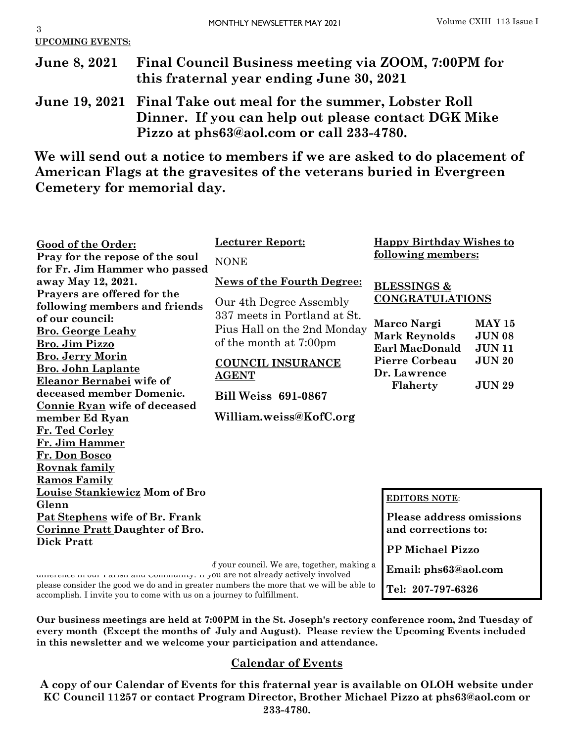3

**June 8, 2021 Final Council Business meeting via ZOOM, 7:00PM for this fraternal year ending June 30, 2021**

**June 19, 2021 Final Take out meal for the summer, Lobster Roll Dinner. If you can help out please contact DGK Mike Pizzo at phs63@aol.com or call 233-4780.** 

**We will send out a notice to members if we are asked to do placement of American Flags at the gravesites of the veterans buried in Evergreen Cemetery for memorial day.** 

| Good of the Order:                    | <b>Lecturer Report:</b>                                                             | <b>Happy Birthday Wishes to</b>        |
|---------------------------------------|-------------------------------------------------------------------------------------|----------------------------------------|
| Pray for the repose of the soul       | <b>NONE</b>                                                                         | following members:                     |
| for Fr. Jim Hammer who passed         |                                                                                     |                                        |
| away May 12, 2021.                    | <b>News of the Fourth Degree:</b>                                                   | <b>BLESSINGS &amp;</b>                 |
| Prayers are offered for the           |                                                                                     | <b>CONGRATULATIONS</b>                 |
| following members and friends         | Our 4th Degree Assembly                                                             |                                        |
| of our council:                       | 337 meets in Portland at St.                                                        | Marco Nargi<br><b>MAY 15</b>           |
| <b>Bro. George Leahy</b>              | Pius Hall on the 2nd Monday                                                         | <b>JUN 08</b>                          |
| <b>Bro. Jim Pizzo</b>                 | of the month at 7:00pm                                                              | <b>Mark Reynolds</b>                   |
| <b>Bro. Jerry Morin</b>               |                                                                                     | <b>Earl MacDonald</b><br><b>JUN11</b>  |
| <b>Bro. John Laplante</b>             | <b>COUNCIL INSURANCE</b>                                                            | <b>Pierre Corbeau</b><br><b>JUN 20</b> |
| Eleanor Bernabei wife of              | <b>AGENT</b>                                                                        | Dr. Lawrence                           |
| deceased member Domenic.              | <b>Bill Weiss 691-0867</b>                                                          | Flaherty<br><b>JUN 29</b>              |
| Connie Ryan wife of deceased          |                                                                                     |                                        |
| member Ed Ryan                        | William.weiss@KofC.org                                                              |                                        |
| Fr. Ted Corley                        |                                                                                     |                                        |
| Fr. Jim Hammer                        |                                                                                     |                                        |
| Fr. Don Bosco                         |                                                                                     |                                        |
| <b>Rovnak family</b>                  |                                                                                     |                                        |
| <b>Ramos Family</b>                   |                                                                                     |                                        |
| <u>Louise Stankiewicz</u> Mom of Bro  |                                                                                     |                                        |
| Glenn                                 |                                                                                     | <b>EDITORS NOTE:</b>                   |
| Pat Stephens wife of Br. Frank        |                                                                                     | <b>Please address omissions</b>        |
| <b>Corinne Pratt Daughter of Bro.</b> |                                                                                     | and corrections to:                    |
| <b>Dick Pratt</b>                     |                                                                                     |                                        |
|                                       |                                                                                     | <b>PP Michael Pizzo</b>                |
|                                       | f your council. We are, together, making a<br>su ana nat alugadre qotiyaly inyalyod | Email: phs63@aol.com                   |

**Tel: 207-797-6326**

unterence in our rarish and Community. If you are not already actively involved please consider the good we do and in greater numbers the more that we will be able to accomplish. I invite you to come with us on a journey to fulfillment.

**Our business meetings are held at 7:00PM in the St. Joseph's rectory conference room, 2nd Tuesday of every month (Except the months of July and August). Please review the Upcoming Events included in this newsletter and we welcome your participation and attendance.** 

## **Calendar of Events**

**A copy of our Calendar of Events for this fraternal year is available on OLOH website under KC Council 11257 or contact Program Director, Brother Michael Pizzo at phs63@aol.com or 233-4780.**